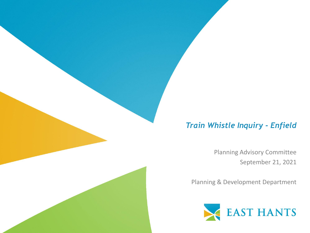#### *Train Whistle Inquiry - Enfield*

Planning Advisory Committee September 21, 2021

Planning & Development Department

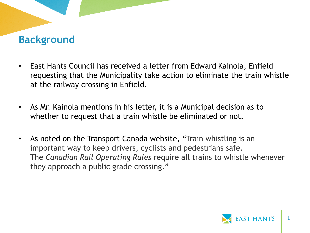## **Background**

- East Hants Council has received a letter from Edward Kainola, Enfield requesting that the Municipality take action to eliminate the train whistle at the railway crossing in Enfield.
- As Mr. Kainola mentions in his letter, it is a Municipal decision as to whether to request that a train whistle be eliminated or not.
- As noted on the Transport Canada website, "Train whistling is an important way to keep drivers, cyclists and pedestrians safe. The *Canadian Rail Operating Rules* require all trains to whistle whenever they approach a public grade crossing."

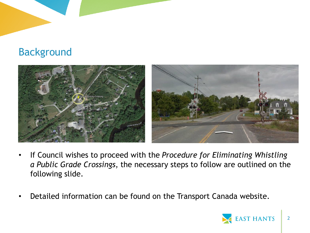# Background



- If Council wishes to proceed with the *Procedure for Eliminating Whistling a Public Grade Crossings*, the necessary steps to follow are outlined on the following slide.
- Detailed information can be found on the Transport Canada website.

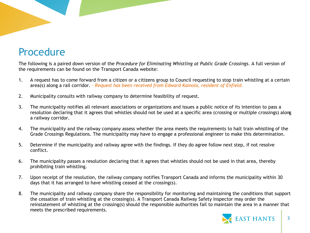# Procedure

The following is a paired down version of the *Procedure for Eliminating Whistling at Public Grade Crossings*. A full version of the requirements can be found on the Transport Canada website:

- 1. A request has to come forward from a citizen or a citizens group to Council requesting to stop train whistling at a certain area(s) along a rail corridor. *– Request has been received from Edward Kainola, resident of Enfield.*
- 2. Municipality consults with railway company to determine feasibility of request.
- 3. The municipality notifies all relevant associations or organizations and issues a public notice of its intention to pass a resolution declaring that it agrees that whistles should not be used at a specific area (crossing or multiple crossings) along a railway corridor.
- 4. The municipality and the railway company assess whether the area meets the requirements to halt train whistling of the Grade Crossings Regulations. The municipality may have to engage a professional engineer to make this determination.
- 5. Determine if the municipality and railway agree with the findings. If they do agree follow next step, if not resolve conflict.
- 6. The municipality passes a resolution declaring that it agrees that whistles should not be used in that area, thereby prohibiting train whistling.
- 7. Upon receipt of the resolution, the railway company notifies Transport Canada and informs the municipality within 30 days that it has arranged to have whistling ceased at the crossing(s).
- 8. The municipality and railway company share the responsibility for monitoring and maintaining the conditions that support the cessation of train whistling at the crossing(s). A Transport Canada Railway Safety Inspector may order the reinstatement of whistling at the crossing(s) should the responsible authorities fail to maintain the area in a manner that meets the prescribed requirements.

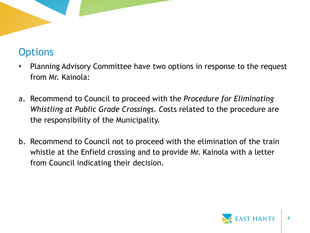# **Options**

- Planning Advisory Committee have two options in response to the request from Mr. Kainola:
- a. Recommend to Council to proceed with the *Procedure for Eliminating Whistling at Public Grade Crossings. C*osts related to the procedure are the responsibility of the Municipality.
- b. Recommend to Council not to proceed with the elimination of the train whistle at the Enfield crossing and to provide Mr. Kainola with a letter from Council indicating their decision.

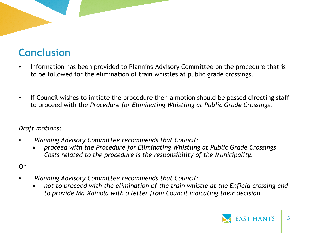# **Conclusion**

- Information has been provided to Planning Advisory Committee on the procedure that is to be followed for the elimination of train whistles at public grade crossings.
- If Council wishes to initiate the procedure then a motion should be passed directing staff to proceed with the *Procedure for Eliminating Whistling at Public Grade Crossings.*

*Draft motions:* 

- *Planning Advisory Committee recommends that Council:* 
	- *proceed with the Procedure for Eliminating Whistling at Public Grade Crossings. Costs related to the procedure is the responsibility of the Municipality.*

#### Or

- *Planning Advisory Committee recommends that Council:* 
	- *not to proceed with the elimination of the train whistle at the Enfield crossing and to provide Mr. Kainola with a letter from Council indicating their decision.*